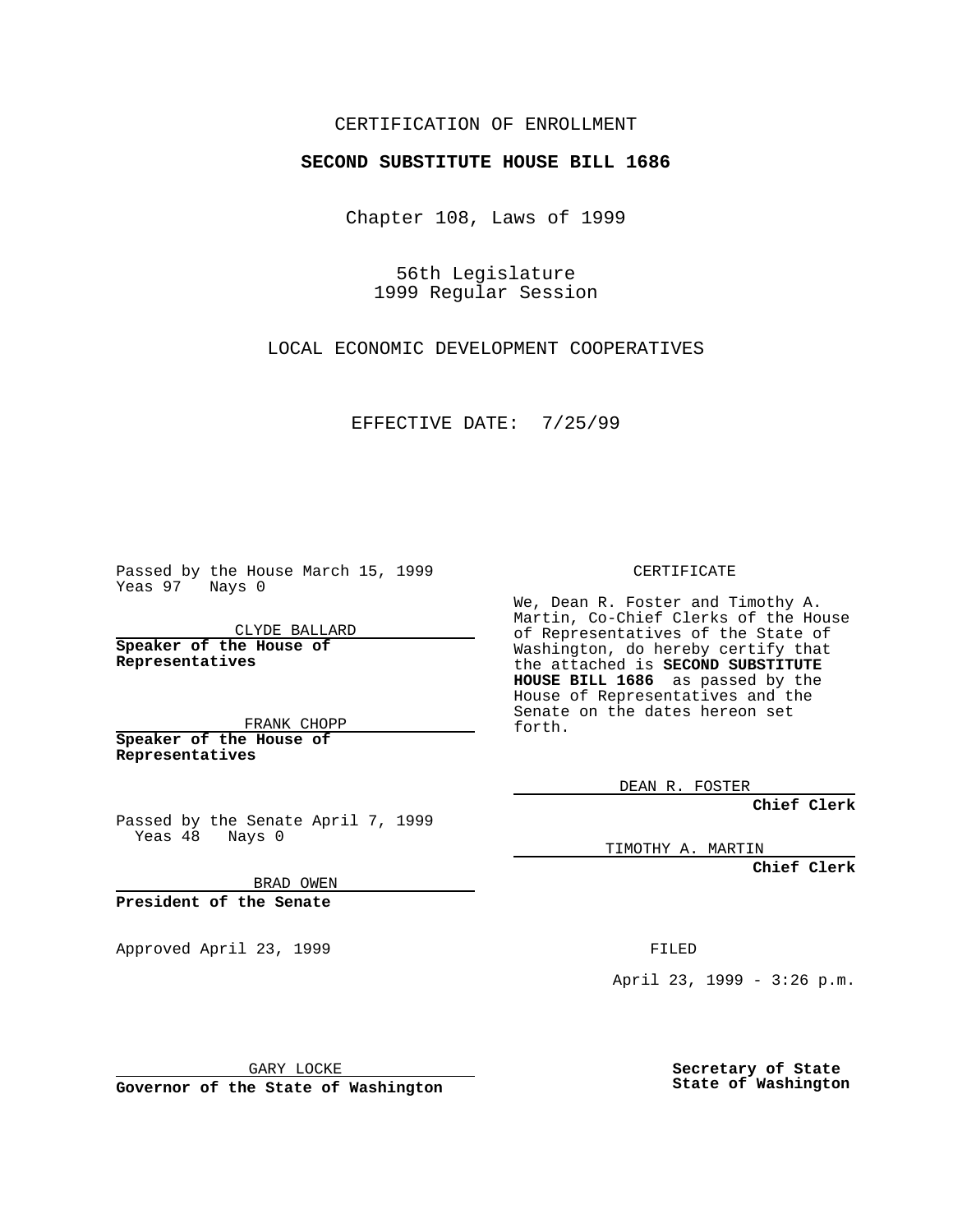## CERTIFICATION OF ENROLLMENT

## **SECOND SUBSTITUTE HOUSE BILL 1686**

Chapter 108, Laws of 1999

56th Legislature 1999 Regular Session

LOCAL ECONOMIC DEVELOPMENT COOPERATIVES

EFFECTIVE DATE: 7/25/99

Passed by the House March 15, 1999 Yeas 97 Nays 0

CLYDE BALLARD **Speaker of the House of Representatives**

FRANK CHOPP **Speaker of the House of Representatives**

Passed by the Senate April 7, 1999 Yeas 48 Nays 0

BRAD OWEN

**President of the Senate**

Approved April 23, 1999 **FILED** 

CERTIFICATE

We, Dean R. Foster and Timothy A. Martin, Co-Chief Clerks of the House of Representatives of the State of Washington, do hereby certify that the attached is **SECOND SUBSTITUTE HOUSE BILL 1686** as passed by the House of Representatives and the Senate on the dates hereon set forth.

DEAN R. FOSTER

**Chief Clerk**

TIMOTHY A. MARTIN

**Chief Clerk**

April 23, 1999 - 3:26 p.m.

GARY LOCKE

**Governor of the State of Washington**

**Secretary of State State of Washington**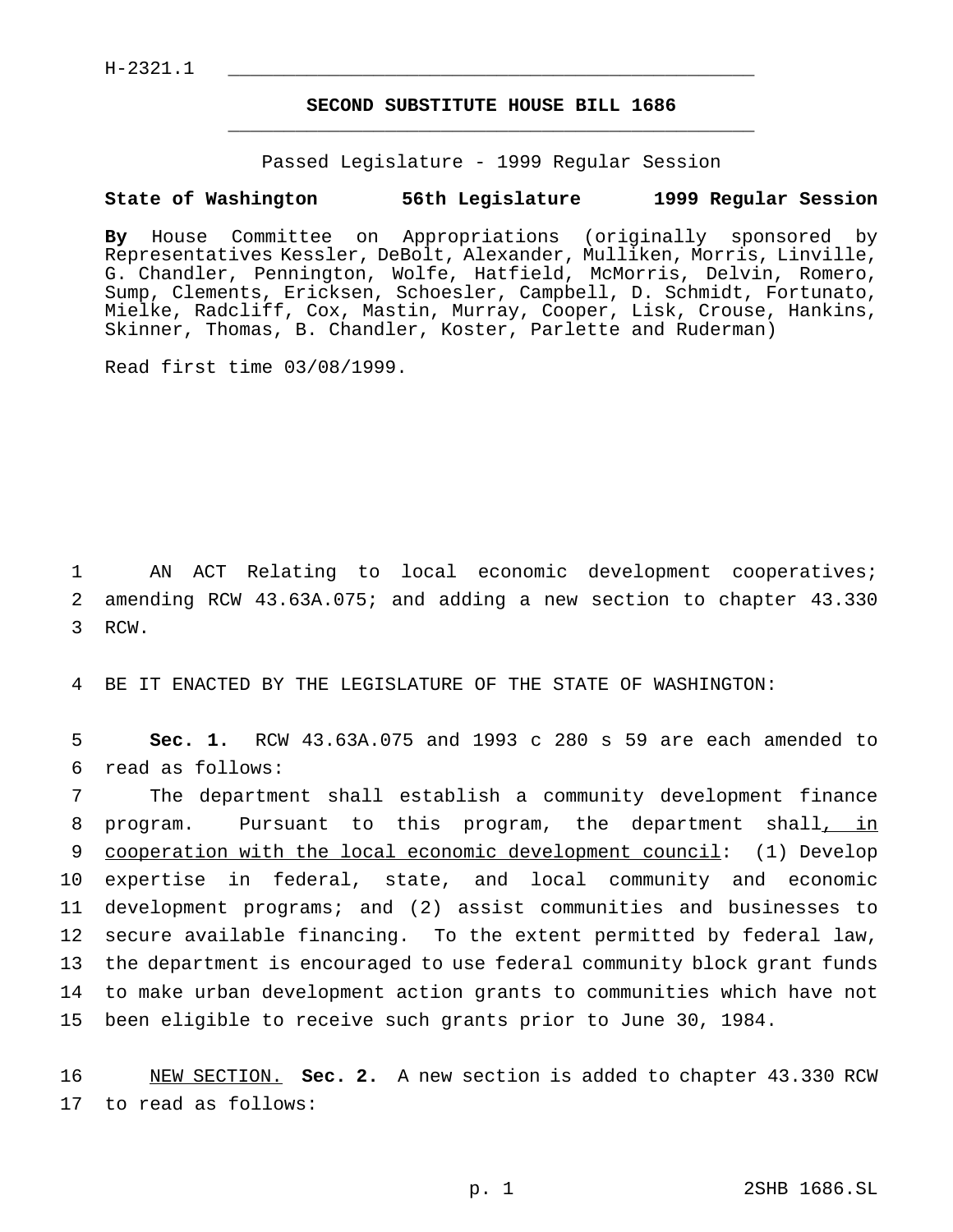$H-2321.1$ 

## **SECOND SUBSTITUTE HOUSE BILL 1686** \_\_\_\_\_\_\_\_\_\_\_\_\_\_\_\_\_\_\_\_\_\_\_\_\_\_\_\_\_\_\_\_\_\_\_\_\_\_\_\_\_\_\_\_\_\_\_

Passed Legislature - 1999 Regular Session

## **State of Washington 56th Legislature 1999 Regular Session**

**By** House Committee on Appropriations (originally sponsored by Representatives Kessler, DeBolt, Alexander, Mulliken, Morris, Linville, G. Chandler, Pennington, Wolfe, Hatfield, McMorris, Delvin, Romero, Sump, Clements, Ericksen, Schoesler, Campbell, D. Schmidt, Fortunato, Mielke, Radcliff, Cox, Mastin, Murray, Cooper, Lisk, Crouse, Hankins, Skinner, Thomas, B. Chandler, Koster, Parlette and Ruderman)

Read first time 03/08/1999.

1 AN ACT Relating to local economic development cooperatives; 2 amending RCW 43.63A.075; and adding a new section to chapter 43.330 3 RCW.

4 BE IT ENACTED BY THE LEGISLATURE OF THE STATE OF WASHINGTON:

5 **Sec. 1.** RCW 43.63A.075 and 1993 c 280 s 59 are each amended to 6 read as follows:

 The department shall establish a community development finance program. Pursuant to this program, the department shall, in cooperation with the local economic development council: (1) Develop expertise in federal, state, and local community and economic development programs; and (2) assist communities and businesses to secure available financing. To the extent permitted by federal law, the department is encouraged to use federal community block grant funds to make urban development action grants to communities which have not been eligible to receive such grants prior to June 30, 1984.

16 NEW SECTION. **Sec. 2.** A new section is added to chapter 43.330 RCW 17 to read as follows: